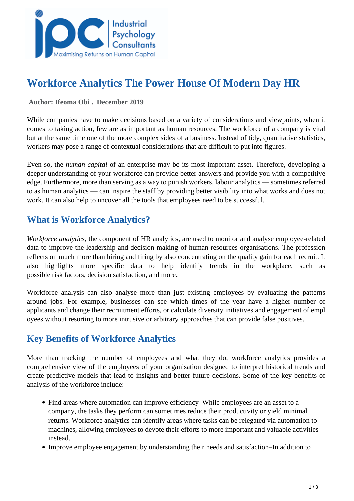

# **Workforce Analytics The Power House Of Modern Day HR**

#### **Author: Ifeoma Obi . December 2019**

While companies have to make decisions based on a variety of considerations and viewpoints, when it comes to taking action, few are as important as human resources. The workforce of a company is vital but at the same time one of the more complex sides of a business. Instead of tidy, quantitative statistics, workers may pose a range of contextual considerations that are difficult to put into figures.

Even so, the *human capital* of an enterprise may be its most important asset. Therefore, developing a deeper understanding of your workforce can provide better answers and provide you with a competitive edge. Furthermore, more than serving as a way to punish workers, labour analytics — sometimes referred to as human analytics — can inspire the staff by providing better visibility into what works and does not work. It can also help to uncover all the tools that employees need to be successful.

### **What is Workforce Analytics?**

*Workforce analytics*, the component of HR analytics, are used to monitor and analyse employee-related data to improve the leadership and decision-making of human resources organisations. The profession reflects on much more than hiring and firing by also concentrating on the quality gain for each recruit. It also highlights more specific data to help identify trends in the workplace, such as possible risk factors, decision satisfaction, and more.

Workforce analysis can also analyse more than just existing employees by evaluating the patterns around jobs. For example, businesses can see which times of the year have a higher number of applicants and change their recruitment efforts, or calculate diversity initiatives and engagement of empl oyees without resorting to more intrusive or arbitrary approaches that can provide false positives.

#### **Key Benefits of Workforce Analytics**

More than tracking the number of employees and what they do, workforce analytics provides a comprehensive view of the employees of your organisation designed to interpret historical trends and create predictive models that lead to insights and better future decisions. Some of the key benefits of analysis of the workforce include:

- Find areas where automation can improve efficiency–While employees are an asset to a company, the tasks they perform can sometimes reduce their productivity or yield minimal returns. Workforce analytics can identify areas where tasks can be relegated via automation to machines, allowing employees to devote their efforts to more important and valuable activities instead.
- Improve employee engagement by understanding their needs and satisfaction–In addition to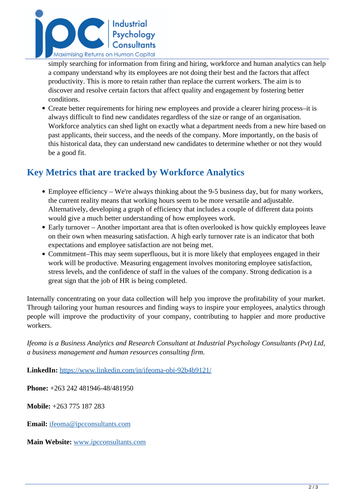

simply searching for information from firing and hiring, workforce and human analytics can help a company understand why its employees are not doing their best and the factors that affect productivity. This is more to retain rather than replace the current workers. The aim is to discover and resolve certain factors that affect quality and engagement by fostering better conditions.

Create better requirements for hiring new employees and provide a clearer hiring process–it is always difficult to find new candidates regardless of the size or range of an organisation. Workforce analytics can shed light on exactly what a department needs from a new hire based on past applicants, their success, and the needs of the company. More importantly, on the basis of this historical data, they can understand new candidates to determine whether or not they would be a good fit.

## **Key Metrics that are tracked by Workforce Analytics**

- Employee efficiency We're always thinking about the 9-5 business day, but for many workers, the current reality means that working hours seem to be more versatile and adjustable. Alternatively, developing a graph of efficiency that includes a couple of different data points would give a much better understanding of how employees work.
- Early turnover Another important area that is often overlooked is how quickly employees leave on their own when measuring satisfaction. A high early turnover rate is an indicator that both expectations and employee satisfaction are not being met.
- Commitment–This may seem superfluous, but it is more likely that employees engaged in their work will be productive. Measuring engagement involves monitoring employee satisfaction, stress levels, and the confidence of staff in the values of the company. Strong dedication is a great sign that the job of HR is being completed.

Internally concentrating on your data collection will help you improve the profitability of your market. Through tailoring your human resources and finding ways to inspire your employees, analytics through people will improve the productivity of your company, contributing to happier and more productive workers.

*Ifeoma is a Business Analytics and Research Consultant at Industrial Psychology Consultants (Pvt) Ltd, a business management and human resources consulting firm.* 

**LinkedIn:** <https://www.linkedin.com/in/ifeoma-obi-92b4b9121/>

**Phone:** +263 242 481946-48/481950

**Mobile:** +263 775 187 283

**Email:** [ifeoma@ipcconsultants.com](mailto:ifeoma@ipcconsultants.com)

**Main Website:** [www.ipcconsultants.com](http://www.ipcconsultants.com)